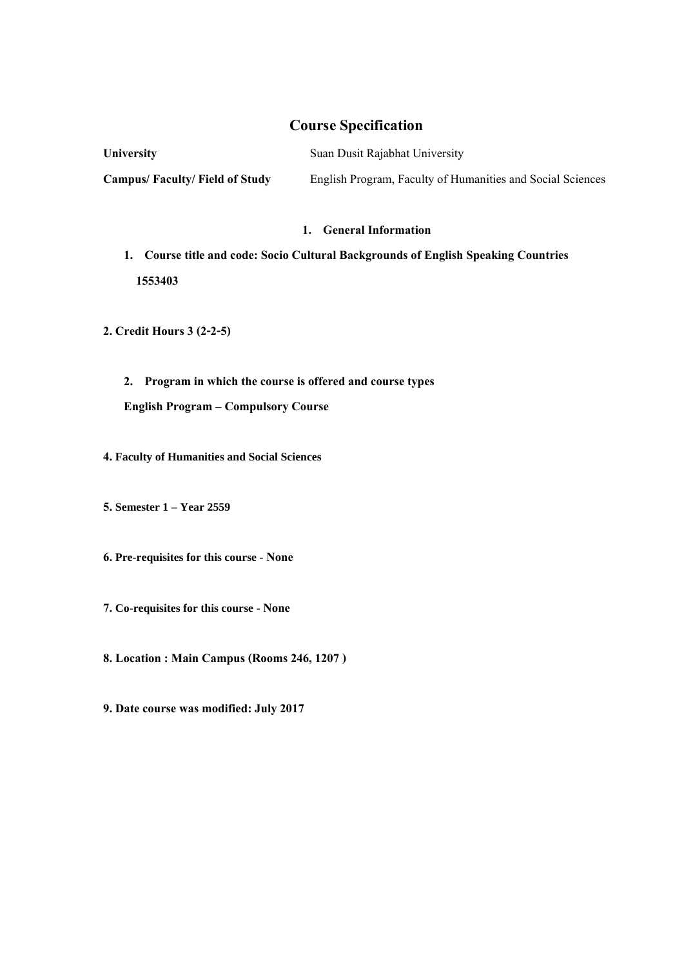# **Course Specification**

**University** Suan Dusit Rajabhat University **Campus/ Faculty/ Field of Study** English Program, Faculty of Humanities and Social Sciences

## **1. General Information**

- 1. Course title and code: Socio Cultural Backgrounds of English Speaking Countries  **1553403**
- **2. Credit Hours 3 (2-2-5)**
	- **2. Program in which the course is offered and course types English Program – Compulsory Course**
- **4. Faculty of Humanities and Social Sciences**
- **5. Semester 1 – Year 2559**
- **6. Pre-requisites for this course - None**
- **7. Co-requisites for this course - None**
- **8. Location: Main Campus (Rooms 246, 1207 )**
- **9. Date course was modified: July 2017**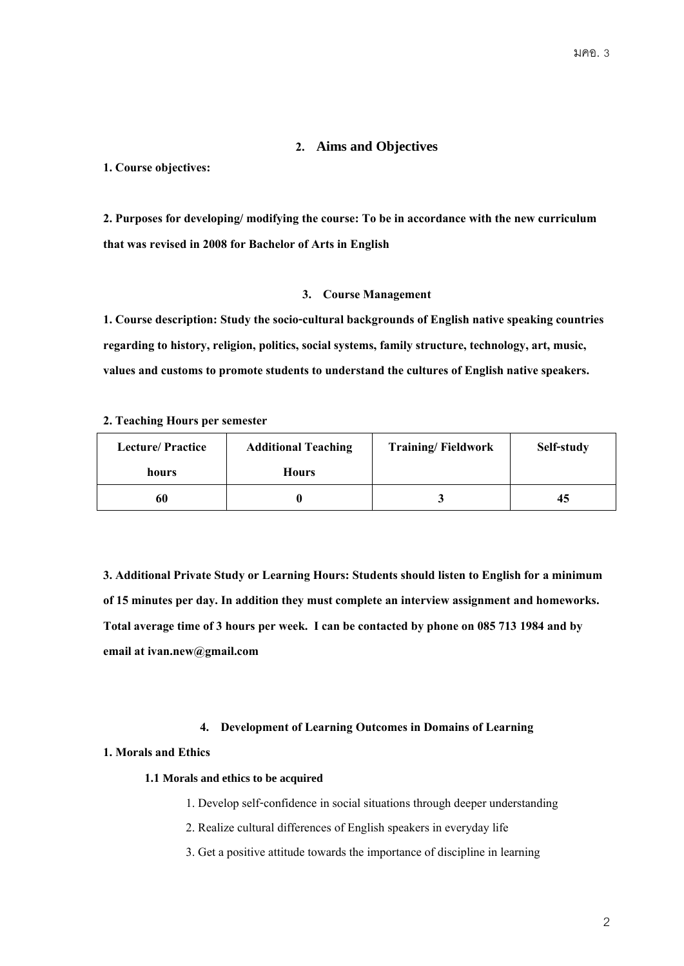# **2. Aims and Objectives**

#### **1. Course objectives:**

**2. Purposes for developing/ modifying the course: To be in accordance with the new curriculum that was revised in 2008 for Bachelor of Arts in English**

## **3. Course Management**

**1. Course description: Study the socio-cultural backgrounds of English native speaking countries regarding to history, religion, politics, social systems, family structure, technology, art, music, values and customs to promote students to understand the cultures of English native speakers.**

#### **2. Teaching Hours per semester**

| <b>Lecture/Practice</b> | <b>Additional Teaching</b> | <b>Training/Fieldwork</b> | Self-study |
|-------------------------|----------------------------|---------------------------|------------|
| hours                   | <b>Hours</b>               |                           |            |
| 60                      |                            |                           | 45         |

**3. Additional Private Study or Learning Hours: Students should listen to English for a minimum of15 minutes per day. In addition they must complete an interview assignment and homeworks.**  Total average time of 3 hours per week. I can be contacted by phone on 085 713 1984 and by **email at ivan.new@gmail.com**

#### **4. Development of Learning Outcomes in Domains of Learning**

#### **1. Moralsand Ethics**

#### **1.1 Morals and ethics to be acquired**

1. Develop self-confidence in social situations through deeper understanding

- 2. Realize cultural differences of English speakers in everyday life
- 3. Get a positive attitude towards the importance of discipline in learning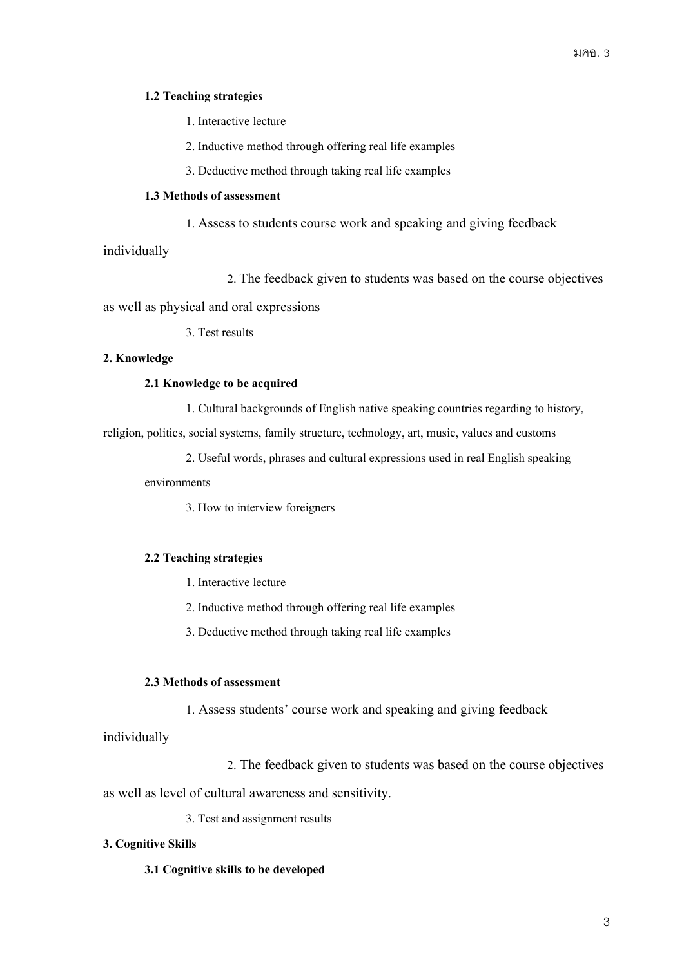#### **1.2 Teaching strategies**

1. Interactive lecture

2. Inductive method through offering real life examples

3. Deductive method through taking real life examples

### **1.3 Methods of assessment**

1. Assess to students course work and speaking and giving feedback

individually

2. The feedback given to students was based on the course objectives

as well as physical and oral expressions

3. Test results

# **2. Knowledge**

## **2.1 Knowledge to be acquired**

1. Cultural backgrounds of English native speaking countries regarding to history,

religion, politics, social systems, family structure, technology, art, music, values and customs

2. Useful words, phrases and cultural expressions used in real English speaking

environments

3. How to interview foreigners

# **2.2 Teaching strategies**

- 1. Interactive lecture
- 2. Inductive method through offering real life examples
- 3. Deductive method through taking real life examples

## **2.3 Methods of assessment**

1. Assess students' course work and speaking and giving feedback

individually

2. The feedback given to students was based on the course objectives

as well as level of cultural awareness and sensitivity.

3. Test and assignment results

# **3. Cognitive Skills**

**3.1 Cognitive skills to be developed**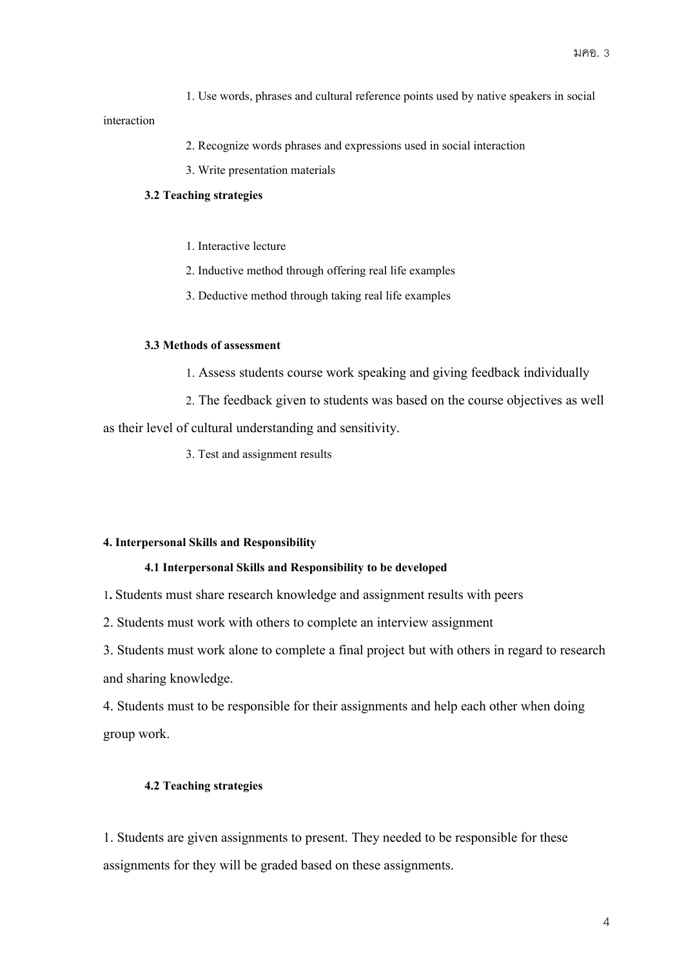1. Use words, phrases and cultural reference points used by native speakers in social

## interaction

- 2. Recognize words phrases and expressions used in social interaction
- 3. Write presentation materials

# **3.2 Teaching strategies**

- 1. Interactive lecture
- 2. Inductive method through offering real life examples
- 3. Deductive method through taking real life examples

## **3.3 Methods of assessment**

- 1. Assess students course work speaking and giving feedback individually
- 2. The feedback given to students was based on the course objectives as well

as their level of cultural understanding and sensitivity.

3. Test and assignment results

#### **4. Interpersonal Skills and Responsibility**

## **4.1 Interpersonal Skills and Responsibility to be developed**

1**.** Students must share research knowledge and assignment results with peers

2. Students must work with others to complete an interview assignment

3. Students must work alone to complete a final project but with others in regard to research and sharing knowledge.

4. Students must to be responsible for their assignments and help each other when doing group work.

# **4.2 Teaching strategies**

1. Students are given assignments to present. They needed to be responsible for these assignments for they will be graded based on these assignments.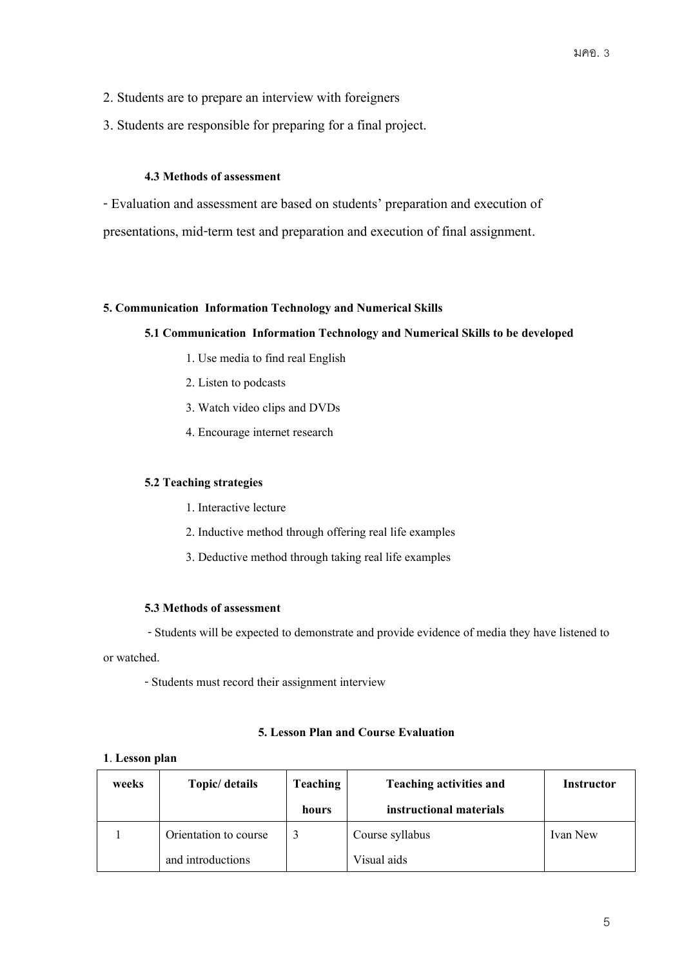- 2. Students are to prepare an interview with foreigners
- 3. Students are responsible for preparing for a final project.

#### **4.3 Methods of assessment**

- Evaluation and assessment are based on students' preparation and execution of presentations, mid-term test and preparation and execution of final assignment.

# **5. Communication Information Technology and Numerical Skills**

### **5.1 Communication Information Technology and Numerical Skills to be developed**

- 1. Use media to find real English
- 2. Listen to podcasts
- 3. Watch video clips and DVDs
- 4. Encourage internet research

## **5.2 Teaching strategies**

- 1. Interactive lecture
- 2. Inductive method through offering real life examples
- 3. Deductive method through taking real life examples

#### **5.3 Methods of assessment**

-Students will be expected to demonstrate and provide evidence of media they have listened to

### or watched.

-Students must record their assignment interview

# **5. Lesson Plan and Course Evaluation**

### **1**. **Lesson plan**

| weeks | Topic/ details        | <b>Teaching</b> | <b>Teaching activities and</b> | Instructor |
|-------|-----------------------|-----------------|--------------------------------|------------|
|       |                       | hours           | instructional materials        |            |
|       | Orientation to course |                 | Course syllabus                | Ivan New   |
|       | and introductions     |                 | Visual aids                    |            |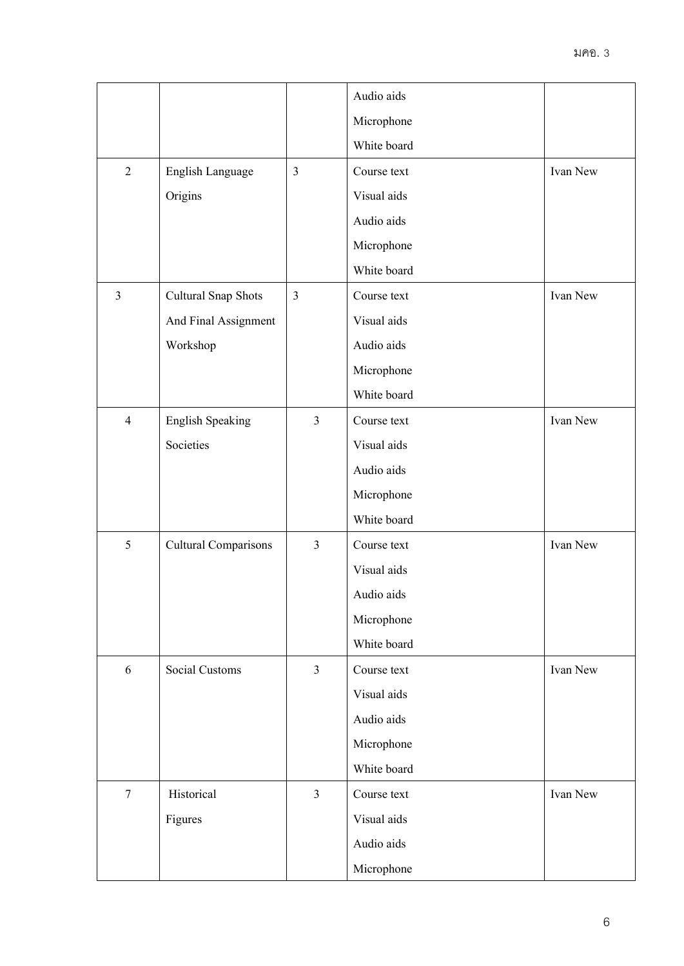|                |                             |                | Audio aids  |          |
|----------------|-----------------------------|----------------|-------------|----------|
|                |                             |                | Microphone  |          |
|                |                             |                | White board |          |
| $\overline{2}$ | English Language            | $\mathfrak{Z}$ | Course text | Ivan New |
|                | Origins                     |                | Visual aids |          |
|                |                             |                | Audio aids  |          |
|                |                             |                | Microphone  |          |
|                |                             |                | White board |          |
| $\overline{3}$ | Cultural Snap Shots         | $\overline{3}$ | Course text | Ivan New |
|                | And Final Assignment        |                | Visual aids |          |
|                | Workshop                    |                | Audio aids  |          |
|                |                             |                | Microphone  |          |
|                |                             |                | White board |          |
| $\overline{4}$ | <b>English Speaking</b>     | $\mathfrak{Z}$ | Course text | Ivan New |
|                | Societies                   |                | Visual aids |          |
|                |                             |                | Audio aids  |          |
|                |                             |                | Microphone  |          |
|                |                             |                | White board |          |
| $\mathfrak{S}$ | <b>Cultural Comparisons</b> | $\overline{3}$ | Course text | Ivan New |
|                |                             |                | Visual aids |          |
|                |                             |                | Audio aids  |          |
|                |                             |                | Microphone  |          |
|                |                             |                | White board |          |
| 6              | <b>Social Customs</b>       | $\mathfrak{Z}$ | Course text | Ivan New |
|                |                             |                | Visual aids |          |
|                |                             |                | Audio aids  |          |
|                |                             |                | Microphone  |          |
|                |                             |                | White board |          |
| $\overline{7}$ | Historical                  | $\mathfrak{Z}$ | Course text | Ivan New |
|                | Figures                     |                | Visual aids |          |
|                |                             |                | Audio aids  |          |
|                |                             |                | Microphone  |          |
|                |                             |                |             |          |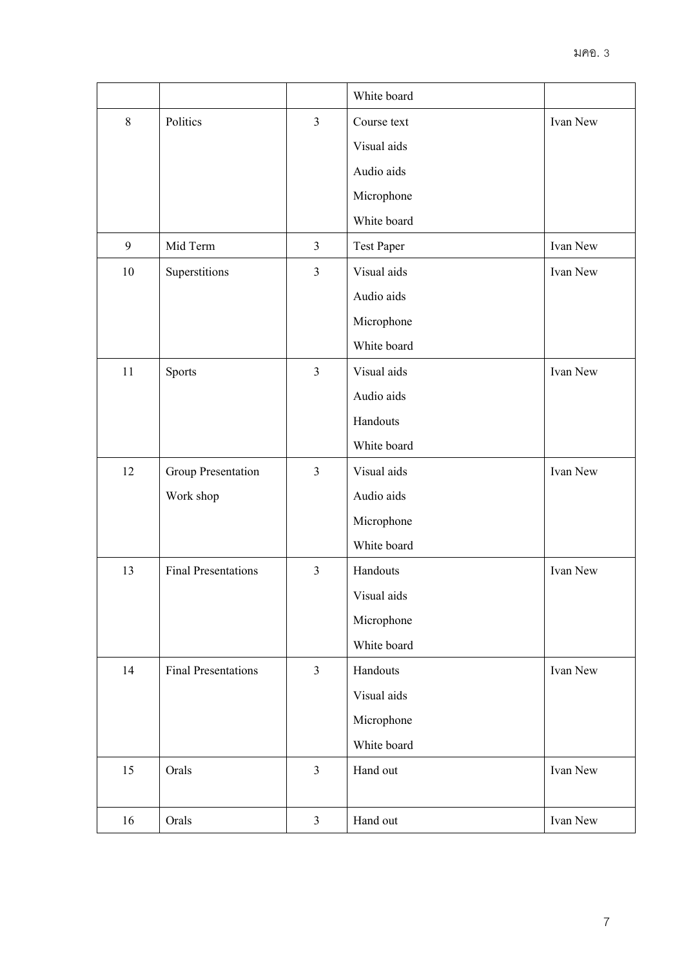|         |                            |                | White board       |          |
|---------|----------------------------|----------------|-------------------|----------|
| $\,8\,$ | Politics                   | $\overline{3}$ | Course text       | Ivan New |
|         |                            |                | Visual aids       |          |
|         |                            |                | Audio aids        |          |
|         |                            |                | Microphone        |          |
|         |                            |                | White board       |          |
| 9       | Mid Term                   | $\mathfrak{Z}$ | <b>Test Paper</b> | Ivan New |
| $10\,$  | Superstitions              | $\mathfrak{Z}$ | Visual aids       | Ivan New |
|         |                            |                | Audio aids        |          |
|         |                            |                | Microphone        |          |
|         |                            |                | White board       |          |
| 11      | Sports                     | $\mathfrak{Z}$ | Visual aids       | Ivan New |
|         |                            |                | Audio aids        |          |
|         |                            |                | Handouts          |          |
|         |                            |                | White board       |          |
| 12      | Group Presentation         | $\mathfrak{Z}$ | Visual aids       | Ivan New |
|         | Work shop                  |                | Audio aids        |          |
|         |                            |                | Microphone        |          |
|         |                            |                | White board       |          |
| 13      | <b>Final Presentations</b> | $\mathfrak{Z}$ | Handouts          | Ivan New |
|         |                            |                | Visual aids       |          |
|         |                            |                | Microphone        |          |
|         |                            |                | White board       |          |
| 14      | <b>Final Presentations</b> | $\mathfrak{Z}$ | Handouts          | Ivan New |
|         |                            |                | Visual aids       |          |
|         |                            |                | Microphone        |          |
|         |                            |                | White board       |          |
| 15      | Orals                      | $\overline{3}$ | Hand out          | Ivan New |
|         |                            |                |                   |          |
| 16      | Orals                      | $\mathfrak{Z}$ | Hand out          | Ivan New |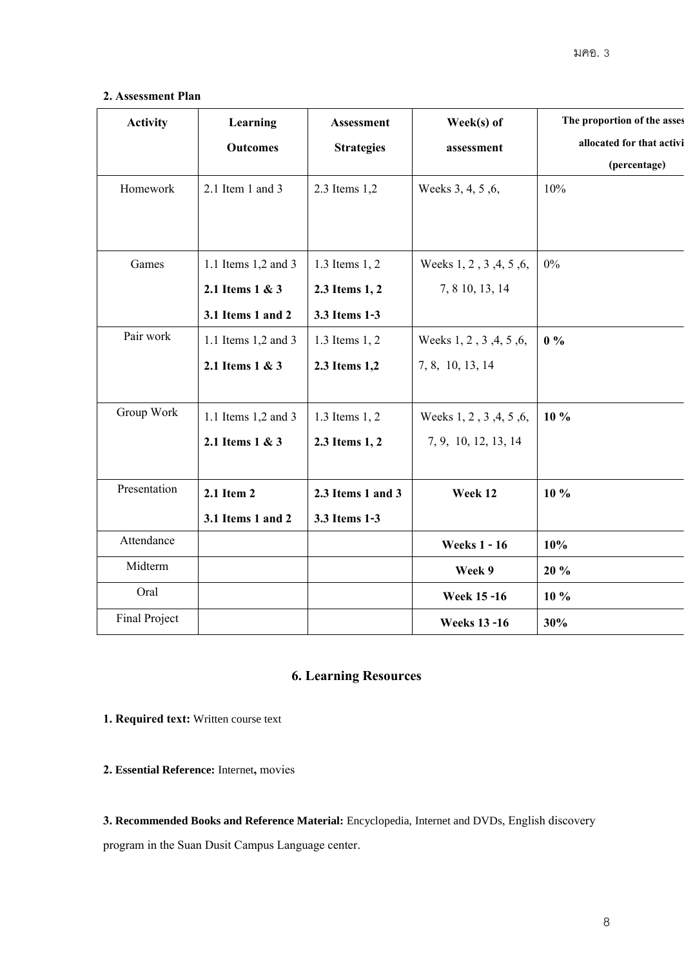# **2. Assessment Plan**

| <b>Activity</b> | Learning            | Assessment        | Week(s) of              | The proportion of the asses |
|-----------------|---------------------|-------------------|-------------------------|-----------------------------|
|                 | <b>Outcomes</b>     | <b>Strategies</b> | assessment              | allocated for that activi   |
|                 |                     |                   |                         | (percentage)                |
| Homework        | 2.1 Item 1 and 3    | 2.3 Items 1,2     | Weeks 3, 4, 5, 6,       | 10%                         |
|                 |                     |                   |                         |                             |
|                 |                     |                   |                         |                             |
| Games           | 1.1 Items 1,2 and 3 | 1.3 Items 1, 2    | Weeks 1, 2, 3, 4, 5, 6, | $0\%$                       |
|                 | 2.1 Items 1 & 3     | 2.3 Items 1, 2    | 7, 8 10, 13, 14         |                             |
|                 | 3.1 Items 1 and 2   | 3.3 Items 1-3     |                         |                             |
| Pair work       | 1.1 Items 1,2 and 3 | 1.3 Items 1, 2    | Weeks 1, 2, 3, 4, 5, 6, | $0\%$                       |
|                 | 2.1 Items 1 & 3     | 2.3 Items 1,2     | 7, 8, 10, 13, 14        |                             |
|                 |                     |                   |                         |                             |
| Group Work      | 1.1 Items 1,2 and 3 | 1.3 Items 1, 2    | Weeks 1, 2, 3, 4, 5, 6, | $10\%$                      |
|                 | 2.1 Items 1 & 3     | 2.3 Items 1, 2    | 7, 9, 10, 12, 13, 14    |                             |
|                 |                     |                   |                         |                             |
| Presentation    | 2.1 Item 2          | 2.3 Items 1 and 3 | Week 12                 | $10\%$                      |
|                 | 3.1 Items 1 and 2   | 3.3 Items 1-3     |                         |                             |
| Attendance      |                     |                   | <b>Weeks 1 - 16</b>     | 10%                         |
| Midterm         |                     |                   | Week 9                  | 20 %                        |
| Oral            |                     |                   | <b>Week 15 -16</b>      | 10 %                        |
| Final Project   |                     |                   | <b>Weeks 13 -16</b>     | 30%                         |

# **6. Learning Resources**

**1. Required text:** Written course text

**2. Essential Reference:** Internet**,** movies

**3. Recommended Books and Reference Material:** Encyclopedia, Internet and DVDs, English discovery

program in the Suan Dusit Campus Language center.